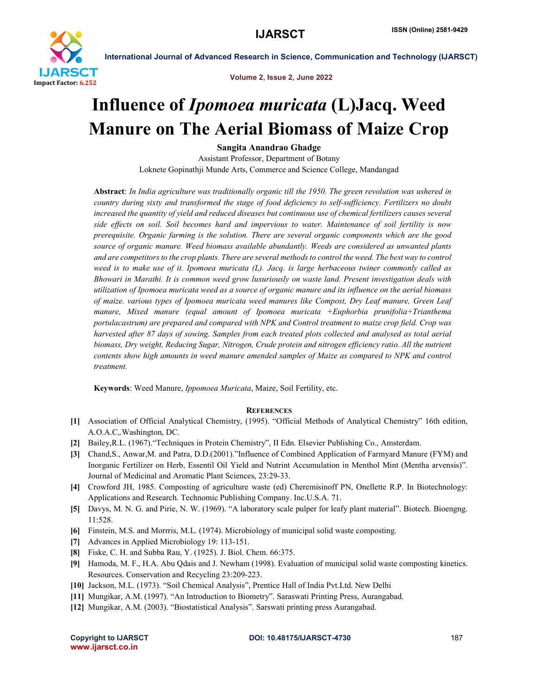

International Journal of Advanced Research in Science, Communication and Technology (IJARSCT)

Volume 2, Issue 2, June 2022

## Influence of *Ipomoea muricata* (L)Jacq. Weed Manure on The Aerial Biomass of Maize Crop

Sangita Anandrao Ghadge

Assistant Professor, Department of Botany Loknete Gopinathji Munde Arts, Commerce and Science College, Mandangad

Abstract: *In India agriculture was traditionally organic till the 1950. The green revolution was ushered in country during sixty and transformed the stage of food deficiency to self-sufficiency. Fertilizers no doubt increased the quantity of yield and reduced diseases but continuous use of chemical fertilizers causes several side effects on soil. Soil becomes hard and impervious to water. Maintenance of soil fertility is now prerequisite. Organic farming is the solution. There are several organic components which are the good source of organic manure. Weed biomass available abundantly. Weeds are considered as unwanted plants*  and are competitors to the crop plants. There are several methods to control the weed. The best way to control *weed is to make use of it. Ipomoea muricata (L). Jacq. is large herbaceous twiner commonly called as Bhowari in Marathi. It is common weed grow luxuriously on waste land. Present investigation deals with utilization of Ipomoea muricata weed as a source of organic manure and its influence on the aerial biomass of maize. various types of Ipomoea muricata weed manures like Compost, Dry Leaf manure, Green Leaf manure, Mixed manure (equal amount of Ipomoea muricata +Euphorbia prunifolia+Trianthema portulacastrum) are prepared and compared with NPK and Control treatment to maize crop field. Crop was harvested after 87 days of sowing. Samples from each treated plots collected and analysed as total aerial biomass, Dry weight, Reducing Sugar, Nitrogen, Crude protein and nitrogen efficiency ratio. All the nutrient contents show high amounts in weed manure amended samples of Maize as compared to NPK and control treatment.*

Keywords: Weed Manure, *Ippomoea Muricata*, Maize, Soil Fertility, etc.

## **REFERENCES**

- [1] Association of Official Analytical Chemistry, (1995). "Official Methods of Analytical Chemistry" 16th edition, A.O.A.C,.Washington, DC.
- [2] Bailey,R.L. (1967)."Techniques in Protein Chemistry", II Edn. Elsevier Publishing Co., Amsterdam.
- [3] Chand,S., Anwar,M. and Patra, D.D.(2001)."Influence of Combined Application of Farmyard Manure (FYM) and Inorganic Fertilizer on Herb, Essentil Oil Yield and Nutrint Accumulation in Menthol Mint (Mentha arvensis)". Journal of Medicinal and Aromatic Plant Sciences, 23:29-33.
- [4] Crowford JH, 1985. Composting of agriculture waste (ed) Cheremisinoff PN, Onellette R.P. In Biotechnology: Applications and Research. Technomic Publishing Company. Inc.U.S.A. 71.
- [5] Davys, M. N. G. and Pirie, N. W. (1969). "A laboratory scale pulper for leafy plant material". Biotech. Bioengng. 11:528.
- [6] Finstein, M.S. and Morrris, M.L. (1974). Microbiology of municipal solid waste composting.
- [7] Advances in Applied Microbiology 19: 113-151.
- [8] Fiske, C. H. and Subba Rau, Y. (1925). J. Biol. Chem. 66:375.
- [9] Hamoda, M. F., H.A. Abu Qdais and J. Newham (1998). Evaluation of municipal solid waste composting kinetics. Resources. Conservation and Recycling 23:209-223.
- [10] Jackson, M.L. (1973). "Soil Chemical Analysis", Prentice Hall of India Pvt.Ltd. New Delhi
- [11] Mungikar, A.M. (1997). "An Introduction to Biometry". Saraswati Printing Press, Aurangabad.
- [12] Mungikar, A.M. (2003). "Biostatistical Analysis". Sarswati printing press Aurangabad.